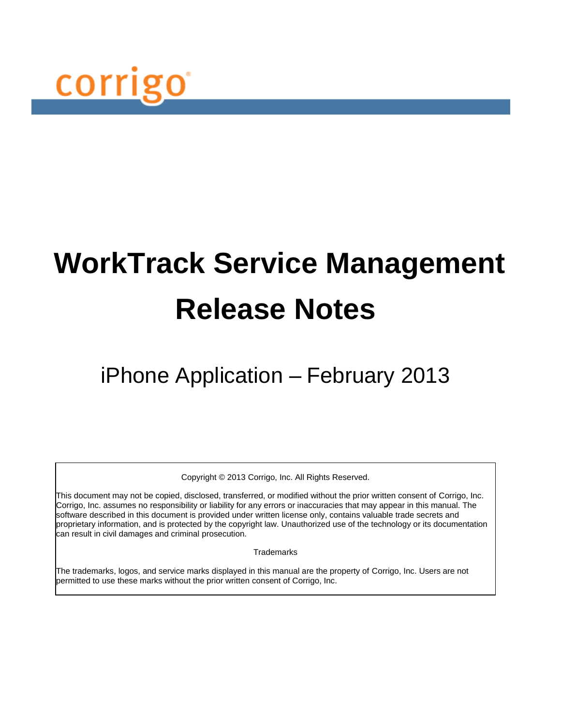

# **WorkTrack Service Management Release Notes**

## iPhone Application – February 2013

Copyright © 2013 Corrigo, Inc. All Rights Reserved.

This document may not be copied, disclosed, transferred, or modified without the prior written consent of Corrigo, Inc. Corrigo, Inc. assumes no responsibility or liability for any errors or inaccuracies that may appear in this manual. The software described in this document is provided under written license only, contains valuable trade secrets and proprietary information, and is protected by the copyright law. Unauthorized use of the technology or its documentation can result in civil damages and criminal prosecution.

**Trademarks** 

The trademarks, logos, and service marks displayed in this manual are the property of Corrigo, Inc. Users are not permitted to use these marks without the prior written consent of Corrigo, Inc.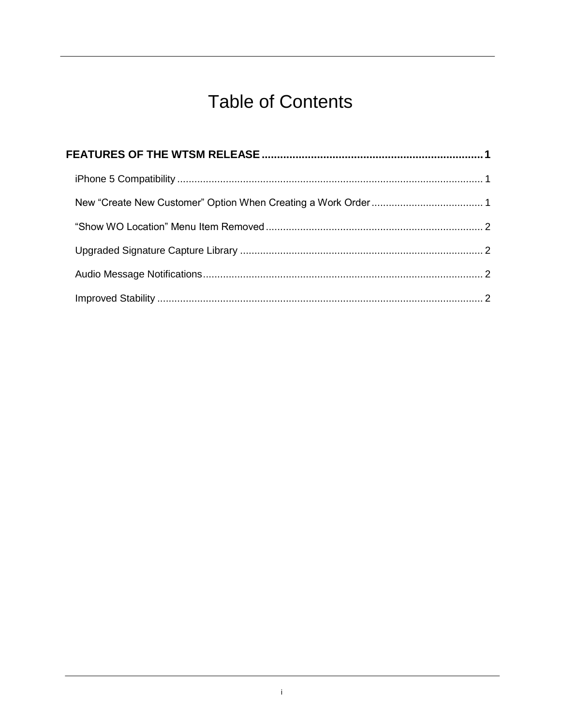## **Table of Contents**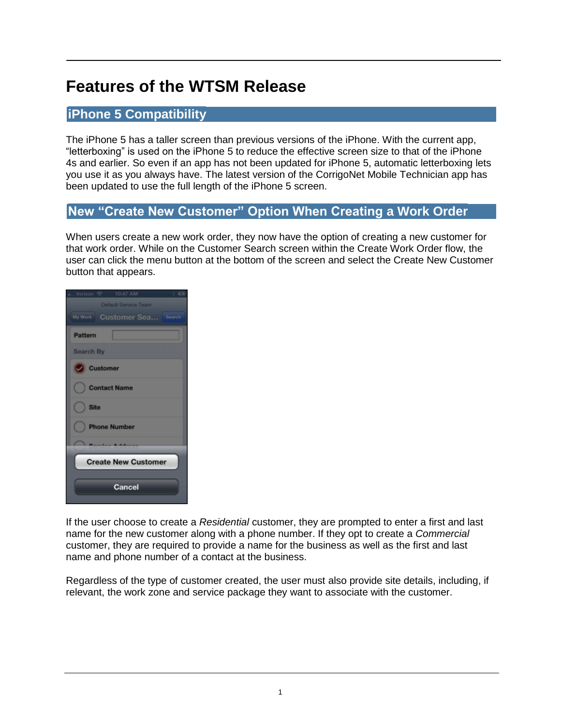### <span id="page-2-0"></span>**Features of the WTSM Release**

#### <span id="page-2-1"></span>**iPhone 5 Compatibility**

The iPhone 5 has a taller screen than previous versions of the iPhone. With the current app, "letterboxing" is used on the iPhone 5 to reduce the effective screen size to that of the iPhone 4s and earlier. So even if an app has not been updated for iPhone 5, automatic letterboxing lets you use it as you always have. The latest version of the CorrigoNet Mobile Technician app has been updated to use the full length of the iPhone 5 screen.

#### <span id="page-2-2"></span>**New "Create New Customer" Option When Creating a Work Order**

When users create a new work order, they now have the option of creating a new customer for that work order. While on the Customer Search screen within the Create Work Order flow, the user can click the menu button at the bottom of the screen and select the Create New Customer button that appears.

| a Verizon マ                       |  |  |  |  |  |  |  |  |
|-----------------------------------|--|--|--|--|--|--|--|--|
| Default Service Team              |  |  |  |  |  |  |  |  |
| My Work<br>Customer Sea<br>Search |  |  |  |  |  |  |  |  |
| <b>Pattern</b>                    |  |  |  |  |  |  |  |  |
| <b>Search By</b>                  |  |  |  |  |  |  |  |  |
| Customer                          |  |  |  |  |  |  |  |  |
| <b>Contact Name</b>               |  |  |  |  |  |  |  |  |
| <b>Site</b>                       |  |  |  |  |  |  |  |  |
| <b>Phone Number</b>               |  |  |  |  |  |  |  |  |
|                                   |  |  |  |  |  |  |  |  |
| <b>Create New Customer</b>        |  |  |  |  |  |  |  |  |
| Cancel                            |  |  |  |  |  |  |  |  |

If the user choose to create a *Residential* customer, they are prompted to enter a first and last name for the new customer along with a phone number. If they opt to create a *Commercial* customer, they are required to provide a name for the business as well as the first and last name and phone number of a contact at the business.

Regardless of the type of customer created, the user must also provide site details, including, if relevant, the work zone and service package they want to associate with the customer.